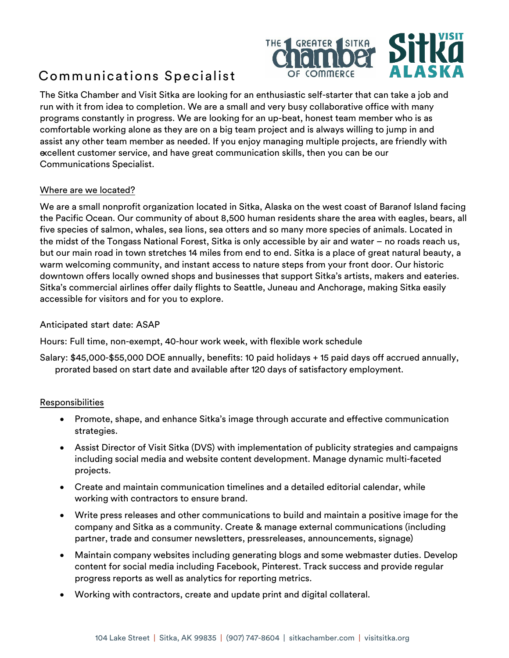

# Communications Specialist

The Sitka Chamber and Visit Sitka are looking for an enthusiastic self-starter that can take a job and run with it from idea to completion. We are a small and very busy collaborative office with many programs constantly in progress. We are looking for an up-beat, honest team member who is as comfortable working alone as they are on a big team project and is always willing to jump in and assist any other team member as needed. If you enjoy managing multiple projects, are friendly with excellent customer service, and have great communication skills, then you can be our Communications Specialist.

## Where are we located?

We are a small nonprofit organization located in Sitka, Alaska on the west coast of Baranof Island facing the Pacific Ocean. Our community of about 8,500 human residents share the area with eagles, bears, all five species of salmon, whales, sea lions, sea otters and so many more species of animals. Located in the midst of the Tongass National Forest, Sitka is only accessible by air and water – no roads reach us, but our main road in town stretches 14 miles from end to end. Sitka is a place of great natural beauty, a warm welcoming community, and instant access to nature steps from your front door. Our historic downtown offers locally owned shops and businesses that support Sitka's artists, makers and eateries. Sitka's commercial airlines offer daily flights to Seattle, Juneau and Anchorage, making Sitka easily accessible for visitors and for you to explore.

### Anticipated start date: ASAP

Hours: Full time, non-exempt, 40-hour work week, with flexible work schedule

Salary: \$45,000-\$55,000 DOE annually, benefits: 10 paid holidays + 15 paid days off accrued annually, prorated based on start date and available after 120 days of satisfactory employment.

#### Responsibilities

- Promote, shape, and enhance Sitka's image through accurate and effective communication strategies.
- Assist Director of Visit Sitka (DVS) with implementation of publicity strategies and campaigns including social media and website content development. Manage dynamic multi-faceted projects.
- Create and maintain communication timelines and a detailed editorial calendar, while working with contractors to ensure brand.
- Write press releases and other communications to build and maintain a positive image for the company and Sitka as a community. Create & manage external communications (including partner, trade and consumer newsletters, pressreleases, announcements, signage)
- Maintain company websites including generating blogs and some webmaster duties. Develop content for social media including Facebook, Pinterest. Track success and provide regular progress reports as well as analytics for reporting metrics.
- Working with contractors, create and update print and digital collateral.